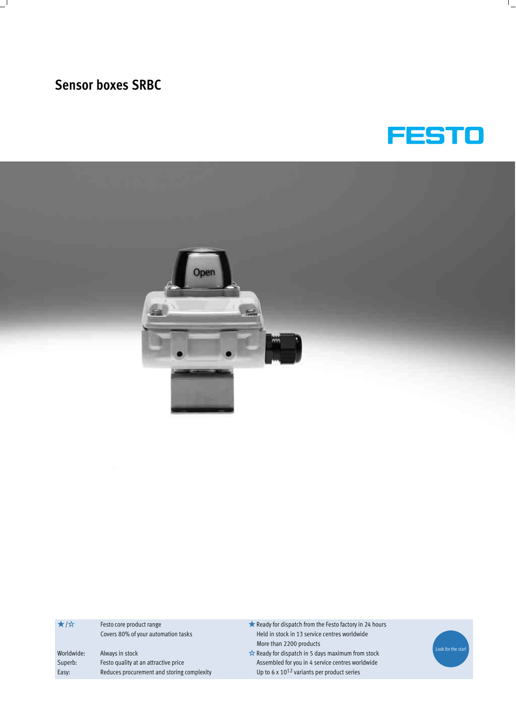



| ★/☆        | Festo core product range                   | Ready for dispatch from the Festo factory in 24 hours |
|------------|--------------------------------------------|-------------------------------------------------------|
|            | Covers 80% of your automation tasks        | Held in stock in 13 service centres worldwide         |
|            |                                            | More than 2200 products                               |
| Worldwide: | Always in stock                            | Ready for dispatch in 5 days maximum from stock       |
| Superb:    | Festo quality at an attractive price       | Assembled for you in 4 service centres worldwide      |
| Easy:      | Reduces procurement and storing complexity | Up to 6 x $10^{12}$ variants per product series       |
|            |                                            |                                                       |

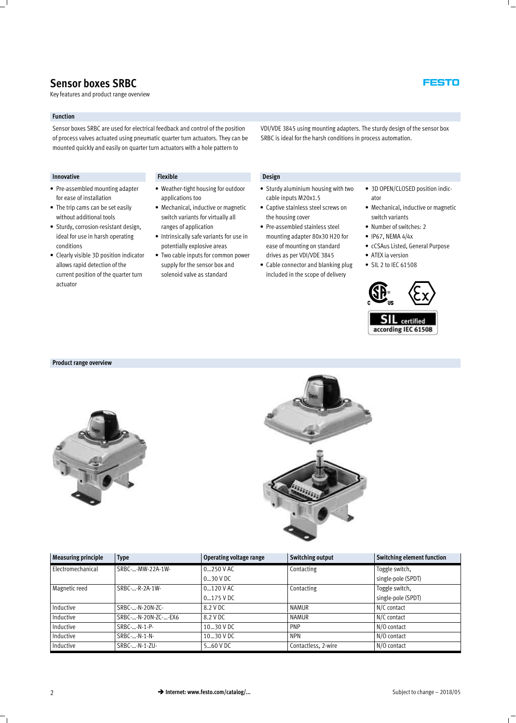Key features and product range overview

#### **Function**

Sensor boxes SRBC are used for electrical feedback and control of the position of process valves actuated using pneumatic quarter turn actuators. They can be mounted quickly and easily on quarter turn actuators with a hole pattern to

**Innovative Design** 

- Pre-assembled mounting adapter for ease of installation
- The trip cams can be set easily without additional tools
- Sturdy, corrosion-resistant design, ideal for use in harsh operating conditions
- Clearly visible 3D position indicator allows rapid detection of the current position of the quarter turn actuator

- Weather-tight housing for outdoor applications too
- Mechanical, inductive or magnetic switch variants for virtually all ranges of application
- Intrinsically safe variants for use in potentially explosive areas
- Two cable inputs for common power supply for the sensor box and solenoid valve as standard

- Sturdy aluminium housing with two cable inputs M20x1.5
- Captive stainless steel screws on the housing cover - Pre-assembled stainless steel
- mounting adapter 80x30 H20 for ease of mounting on standard drives as per VDI/VDE 3845
- Cable connector and blanking plug included in the scope of delivery



- Mechanical, inductive or magnetic switch variants
- Number of switches: 2
- $\bullet$  IP67, NEMA 4/4x

VDI/VDE 3845 using mounting adapters. The sturdy design of the sensor box

SRBC is ideal for the harsh conditions in process automation.

- cCSAus Listed, General Purpose
- ATEX ia version
- SIL 2 to IEC 61508





#### **Product range overview**





| <b>Measuring principle</b> | <b>Type</b>         | Operating voltage range | <b>Switching output</b> | Switching element function |
|----------------------------|---------------------|-------------------------|-------------------------|----------------------------|
| Electromechanical          | SRBC--MW-22A-1W-    | $0250$ V AC             | Contacting              | Toggle switch,             |
|                            |                     | $030$ V DC              |                         | single-pole (SPDT)         |
| Magnetic reed              | SRBC--R-2A-1W-      | $0120$ V AC             | Contacting              | Toggle switch,             |
|                            |                     | $0175$ V DC             |                         | single-pole (SPDT)         |
| Inductive                  | SRBC--N-20N-ZC-     | 8.2 V DC                | <b>NAMUR</b>            | N/C contact                |
| Inductive                  | SRBC--N-20N-ZC--EX6 | 8.2 V DC                | <b>NAMUR</b>            | N/C contact                |
| Inductive                  | SRBC--N-1-P-        | 1030 V DC               | <b>PNP</b>              | N/O contact                |
| Inductive                  | SRBC--N-1-N-        | 1030 V DC               | <b>NPN</b>              | N/O contact                |
| Inductive                  | SRBC--N-1-ZU-       | 560 V DC                | Contactless, 2-wire     | N/O contact                |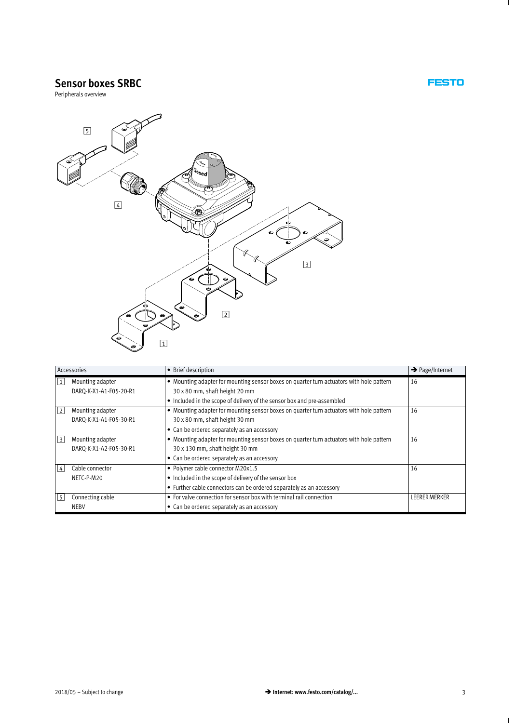Peripherals overview



| Accessories |                        | • Brief description                                                                      | $\rightarrow$ Page/Internet |
|-------------|------------------------|------------------------------------------------------------------------------------------|-----------------------------|
| $\vert$ 1   | Mounting adapter       | • Mounting adapter for mounting sensor boxes on quarter turn actuators with hole pattern | 16                          |
|             | DARQ-K-X1-A1-F05-20-R1 | 30 x 80 mm, shaft height 20 mm                                                           |                             |
|             |                        | • Included in the scope of delivery of the sensor box and pre-assembled                  |                             |
| 2           | Mounting adapter       | • Mounting adapter for mounting sensor boxes on quarter turn actuators with hole pattern | 16                          |
|             | DARQ-K-X1-A1-F05-30-R1 | 30 x 80 mm, shaft height 30 mm                                                           |                             |
|             |                        | • Can be ordered separately as an accessory                                              |                             |
| $\vert$ 3   | Mounting adapter       | • Mounting adapter for mounting sensor boxes on quarter turn actuators with hole pattern | 16                          |
|             | DARO-K-X1-A2-F05-30-R1 | 30 x 130 mm, shaft height 30 mm                                                          |                             |
|             |                        | • Can be ordered separately as an accessory                                              |                             |
| $ 4\rangle$ | Cable connector        | • Polymer cable connector M20x1.5                                                        | 16                          |
|             | NETC-P-M20             | • Included in the scope of delivery of the sensor box                                    |                             |
|             |                        | • Further cable connectors can be ordered separately as an accessory                     |                             |
| 5           | Connecting cable       | • For valve connection for sensor box with terminal rail connection                      | <b>LEERER MERKER</b>        |
|             | <b>NEBV</b>            | • Can be ordered separately as an accessory                                              |                             |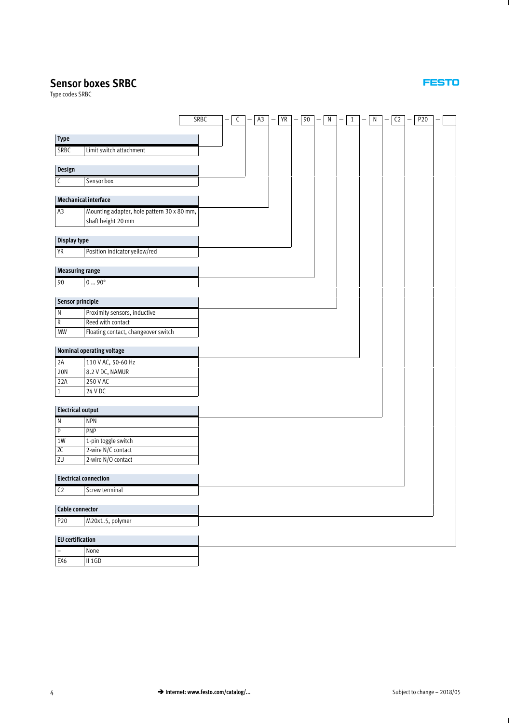Type codes SRBC

|                          |                                            | SRBC | $\mathsf C$ | A3 | YR | 90 | ${\sf N}$ | $\mathbf{1}$ | ${\sf N}$ | $\mathsf{C2}$ | P20 |  |
|--------------------------|--------------------------------------------|------|-------------|----|----|----|-----------|--------------|-----------|---------------|-----|--|
| <b>Type</b>              |                                            |      |             |    |    |    |           |              |           |               |     |  |
| SRBC                     | Limit switch attachment                    |      |             |    |    |    |           |              |           |               |     |  |
|                          |                                            |      |             |    |    |    |           |              |           |               |     |  |
| Design                   |                                            |      |             |    |    |    |           |              |           |               |     |  |
| $\mathsf{C}$             | Sensor box                                 |      |             |    |    |    |           |              |           |               |     |  |
|                          | Mechanical interface                       |      |             |    |    |    |           |              |           |               |     |  |
| A3                       | Mounting adapter, hole pattern 30 x 80 mm, |      |             |    |    |    |           |              |           |               |     |  |
|                          | shaft height 20 mm                         |      |             |    |    |    |           |              |           |               |     |  |
|                          |                                            |      |             |    |    |    |           |              |           |               |     |  |
| Display type             |                                            |      |             |    |    |    |           |              |           |               |     |  |
| YR                       | Position indicator yellow/red              |      |             |    |    |    |           |              |           |               |     |  |
| <b>Measuring range</b>   |                                            |      |             |    |    |    |           |              |           |               |     |  |
|                          |                                            |      |             |    |    |    |           |              |           |               |     |  |
| 90                       | $0 \dots 90^\circ$                         |      |             |    |    |    |           |              |           |               |     |  |
| Sensor principle         |                                            |      |             |    |    |    |           |              |           |               |     |  |
| ${\sf N}$                | Proximity sensors, inductive               |      |             |    |    |    |           |              |           |               |     |  |
| ${\sf R}$                | Reed with contact                          |      |             |    |    |    |           |              |           |               |     |  |
| <b>MW</b>                | Floating contact, changeover switch        |      |             |    |    |    |           |              |           |               |     |  |
|                          | Nominal operating voltage                  |      |             |    |    |    |           |              |           |               |     |  |
| 2A                       | 110 V AC, 50-60 Hz                         |      |             |    |    |    |           |              |           |               |     |  |
| 20N                      | 8.2 V DC, NAMUR                            |      |             |    |    |    |           |              |           |               |     |  |
| 22A                      | 250 V AC                                   |      |             |    |    |    |           |              |           |               |     |  |
| $1\,$                    | 24 V DC                                    |      |             |    |    |    |           |              |           |               |     |  |
|                          |                                            |      |             |    |    |    |           |              |           |               |     |  |
| <b>Electrical output</b> |                                            |      |             |    |    |    |           |              |           |               |     |  |
| $\overline{\mathsf{N}}$  | <b>NPN</b>                                 |      |             |    |    |    |           |              |           |               |     |  |
| $\overline{\mathsf{P}}$  | PNP                                        |      |             |    |    |    |           |              |           |               |     |  |
| 1W                       | 1-pin toggle switch                        |      |             |    |    |    |           |              |           |               |     |  |
| ZC                       | 2-wire N/C contact                         |      |             |    |    |    |           |              |           |               |     |  |
| ZU                       | 2-wire N/O contact                         |      |             |    |    |    |           |              |           |               |     |  |
|                          | <b>Electrical connection</b>               |      |             |    |    |    |           |              |           |               |     |  |
| C <sub>2</sub>           | Screw terminal                             |      |             |    |    |    |           |              |           |               |     |  |
|                          |                                            |      |             |    |    |    |           |              |           |               |     |  |
| Cable connector          |                                            |      |             |    |    |    |           |              |           |               |     |  |
| P20                      | M20x1.5, polymer                           |      |             |    |    |    |           |              |           |               |     |  |
| <b>EU</b> certification  |                                            |      |             |    |    |    |           |              |           |               |     |  |
| $\overline{\phantom{0}}$ | None                                       |      |             |    |    |    |           |              |           |               |     |  |
| EX6                      | $II$ 1GD                                   |      |             |    |    |    |           |              |           |               |     |  |
|                          |                                            |      |             |    |    |    |           |              |           |               |     |  |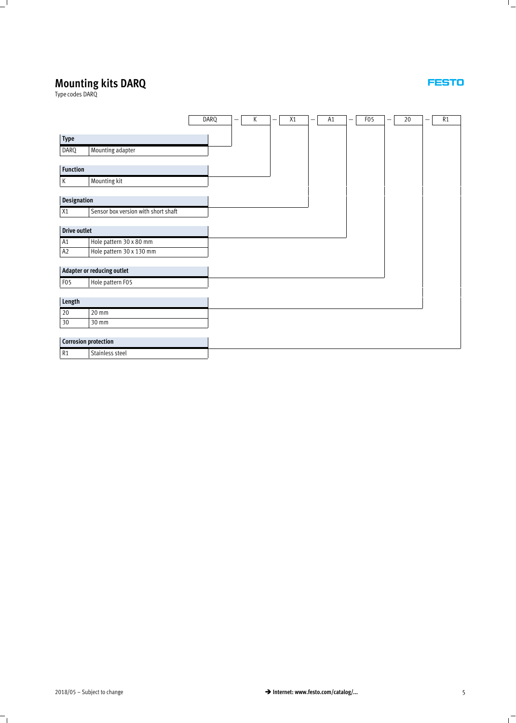## **Mounting kits DARQ**

Type codes DARQ

|                             |                                     | DARQ | $\qquad \qquad$ | К | - | X1 | - | A <sub>1</sub> | - | F <sub>0</sub> 5 | - | 20 | - | R1 |
|-----------------------------|-------------------------------------|------|-----------------|---|---|----|---|----------------|---|------------------|---|----|---|----|
|                             |                                     |      |                 |   |   |    |   |                |   |                  |   |    |   |    |
| Type                        |                                     |      |                 |   |   |    |   |                |   |                  |   |    |   |    |
| DARQ                        | Mounting adapter                    |      |                 |   |   |    |   |                |   |                  |   |    |   |    |
|                             |                                     |      |                 |   |   |    |   |                |   |                  |   |    |   |    |
| <b>Function</b>             |                                     |      |                 |   |   |    |   |                |   |                  |   |    |   |    |
| $\mathsf{K}$                | Mounting kit                        |      |                 |   |   |    |   |                |   |                  |   |    |   |    |
|                             |                                     |      |                 |   |   |    |   |                |   |                  |   |    |   |    |
| Designation                 |                                     |      |                 |   |   |    |   |                |   |                  |   |    |   |    |
| X1                          | Sensor box version with short shaft |      |                 |   |   |    |   |                |   |                  |   |    |   |    |
|                             |                                     |      |                 |   |   |    |   |                |   |                  |   |    |   |    |
| <b>Drive outlet</b>         |                                     |      |                 |   |   |    |   |                |   |                  |   |    |   |    |
| A1                          | Hole pattern 30 x 80 mm             |      |                 |   |   |    |   |                |   |                  |   |    |   |    |
| A2                          | Hole pattern 30 x 130 mm            |      |                 |   |   |    |   |                |   |                  |   |    |   |    |
|                             |                                     |      |                 |   |   |    |   |                |   |                  |   |    |   |    |
|                             | Adapter or reducing outlet          |      |                 |   |   |    |   |                |   |                  |   |    |   |    |
| F <sub>0</sub> 5            | Hole pattern F05                    |      |                 |   |   |    |   |                |   |                  |   |    |   |    |
|                             |                                     |      |                 |   |   |    |   |                |   |                  |   |    |   |    |
| Length                      |                                     |      |                 |   |   |    |   |                |   |                  |   |    |   |    |
| 20                          | 20 mm                               |      |                 |   |   |    |   |                |   |                  |   |    |   |    |
| $30\,$                      | 30 mm                               |      |                 |   |   |    |   |                |   |                  |   |    |   |    |
|                             |                                     |      |                 |   |   |    |   |                |   |                  |   |    |   |    |
| <b>Corrosion protection</b> |                                     |      |                 |   |   |    |   |                |   |                  |   |    |   |    |
| R1                          | Stainless steel                     |      |                 |   |   |    |   |                |   |                  |   |    |   |    |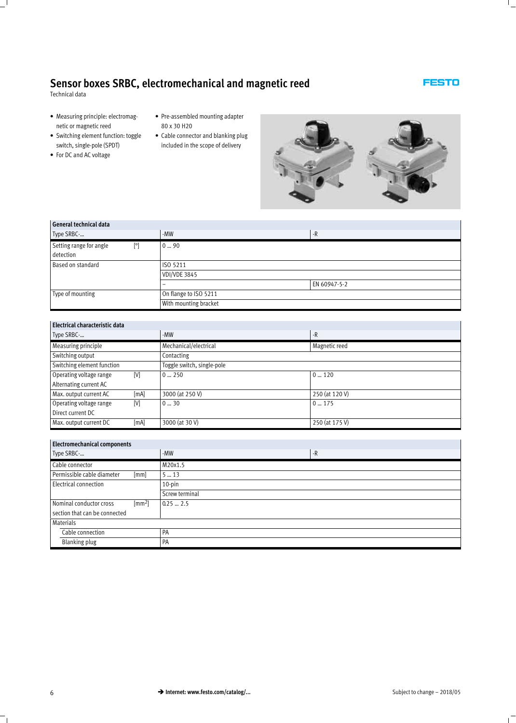Technical data

- Measuring principle: electromagnetic or magnetic reed
- Switching element function: toggle switch, single-pole (SPDT)
- For DC and AC voltage
- Pre-assembled mounting adapter 80 x 30 H20
- Cable connector and blanking plug included in the scope of delivery



| General technical data         |                          |              |  |  |  |  |
|--------------------------------|--------------------------|--------------|--|--|--|--|
| Type SRBC-                     | -MW                      | $-R$         |  |  |  |  |
| Setting range for angle<br>[°] | 090                      |              |  |  |  |  |
| detection                      |                          |              |  |  |  |  |
| Based on standard              | ISO 5211                 |              |  |  |  |  |
|                                | <b>VDI/VDE 3845</b>      |              |  |  |  |  |
|                                | $\overline{\phantom{a}}$ | EN 60947-5-2 |  |  |  |  |
| Type of mounting               | On flange to ISO 5211    |              |  |  |  |  |
|                                | With mounting bracket    |              |  |  |  |  |

| Electrical characteristic data |      |                            |                |  |  |  |  |
|--------------------------------|------|----------------------------|----------------|--|--|--|--|
| Type SRBC-                     |      | -MW                        | $-R$           |  |  |  |  |
| Measuring principle            |      | Mechanical/electrical      | Magnetic reed  |  |  |  |  |
| Switching output               |      | Contacting                 |                |  |  |  |  |
| Switching element function     |      | Toggle switch, single-pole |                |  |  |  |  |
| Operating voltage range<br>[V] |      | $0 \dots 250$              | $0 \dots 120$  |  |  |  |  |
| Alternating current AC         |      |                            |                |  |  |  |  |
| Max. output current AC         | [mA] | 3000 (at 250 V)            | 250 (at 120 V) |  |  |  |  |
| Operating voltage range<br>M   |      | 030                        | 0175           |  |  |  |  |
| Direct current DC              |      |                            |                |  |  |  |  |
| Max. output current DC         | [mA] | 3000 (at 30 V)             | 250 (at 175 V) |  |  |  |  |

| <b>Electromechanical components</b>       |                |      |  |  |  |  |  |  |
|-------------------------------------------|----------------|------|--|--|--|--|--|--|
| Type SRBC-                                | -MW            | $-R$ |  |  |  |  |  |  |
| Cable connector                           | M20x1.5        |      |  |  |  |  |  |  |
| Permissible cable diameter<br>[mm]        | 513            |      |  |  |  |  |  |  |
| Electrical connection                     | $10$ -pin      |      |  |  |  |  |  |  |
|                                           | Screw terminal |      |  |  |  |  |  |  |
| $\text{[mm2]}$<br>Nominal conductor cross | 0.252.5        |      |  |  |  |  |  |  |
| section that can be connected             |                |      |  |  |  |  |  |  |
| Materials                                 |                |      |  |  |  |  |  |  |
| Cable connection                          | PA             |      |  |  |  |  |  |  |
| <b>Blanking plug</b>                      | PA             |      |  |  |  |  |  |  |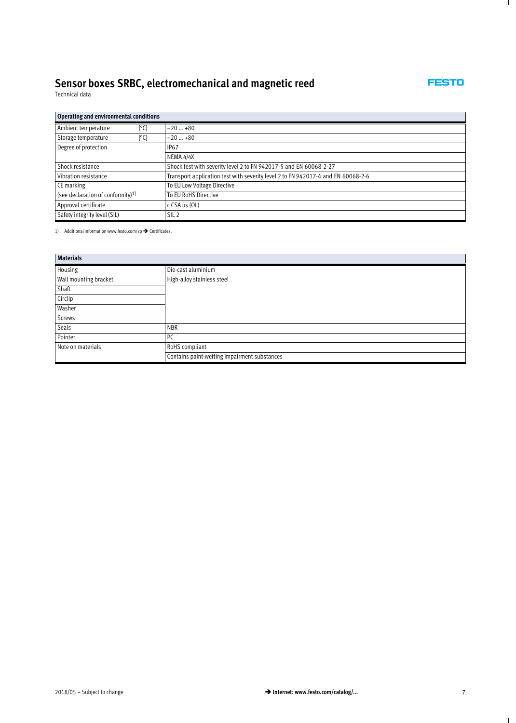Technical data

### **FESTO**

#### **Operating and environmental conditions**

| Ambient temperature<br>[°C]                   | $-20$ +80                                                                        |  |  |  |  |  |
|-----------------------------------------------|----------------------------------------------------------------------------------|--|--|--|--|--|
| Storage temperature<br>[°C]                   | $-20 - 80$                                                                       |  |  |  |  |  |
| Degree of protection                          | <b>IP67</b>                                                                      |  |  |  |  |  |
|                                               | NEMA 4/4X                                                                        |  |  |  |  |  |
| Shock resistance                              | Shock test with severity level 2 to FN 942017-5 and EN 60068-2-27                |  |  |  |  |  |
| Vibration resistance                          | Transport application test with severity level 2 to FN 942017-4 and EN 60068-2-6 |  |  |  |  |  |
| CE marking                                    | To EU Low Voltage Directive                                                      |  |  |  |  |  |
| (see declaration of conformity) <sup>1)</sup> | To EU RoHS Directive                                                             |  |  |  |  |  |
| Approval certificate                          | c $CSA$ us $(OL)$                                                                |  |  |  |  |  |
| Safety integrity level (SIL)                  | SIL <sub>2</sub>                                                                 |  |  |  |  |  |

1) Additional information www.festo.com/sp  $\rightarrow$  Certificates.

| <b>Materials</b>      |                                              |
|-----------------------|----------------------------------------------|
| Housing               | Die-cast aluminium                           |
| Wall mounting bracket | High-alloy stainless steel                   |
| Shaft                 |                                              |
| Circlip               |                                              |
| Washer                |                                              |
| <b>Screws</b>         |                                              |
| Seals                 | <b>NBR</b>                                   |
| Pointer               | <b>PC</b>                                    |
| Note on materials     | RoHS compliant                               |
|                       | Contains paint-wetting impairment substances |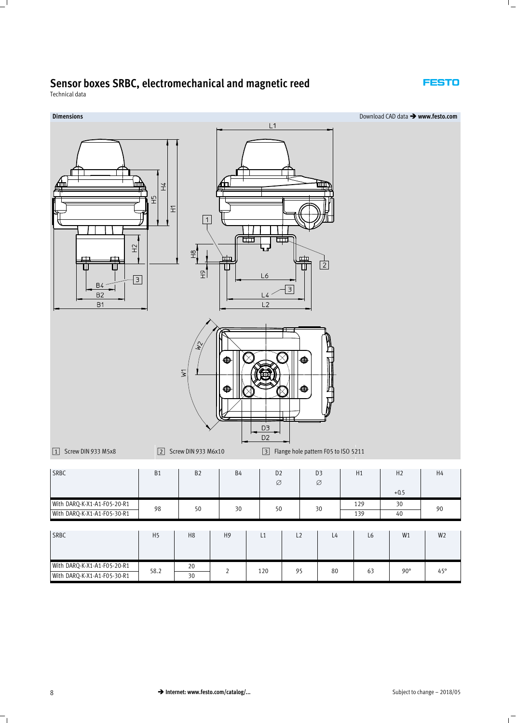#### **FESTO**

Technical data

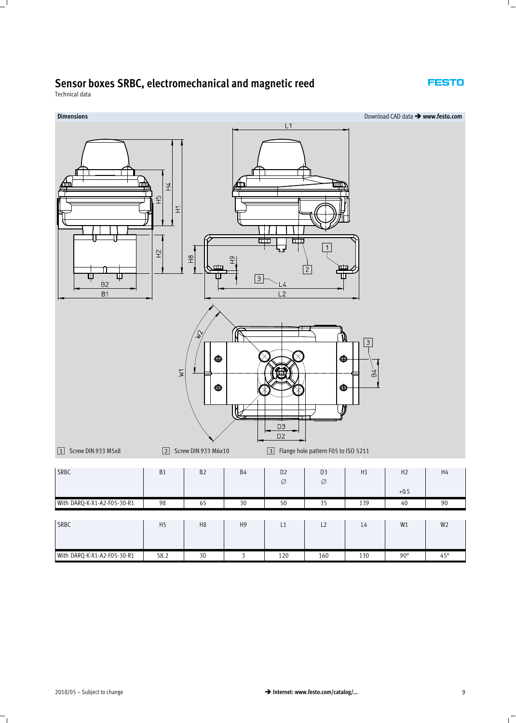

Technical data

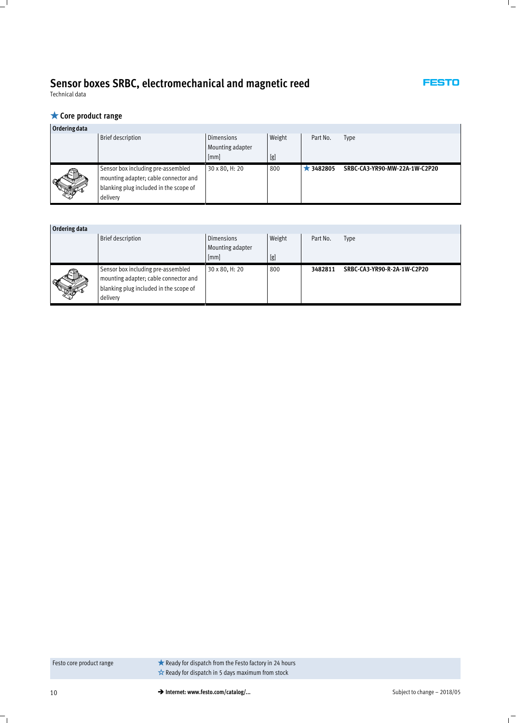#### **FESTO**

Technical data

### **Core product range**

| Ordering data |                                                                                                                                   |                                       |        |                 |                               |
|---------------|-----------------------------------------------------------------------------------------------------------------------------------|---------------------------------------|--------|-----------------|-------------------------------|
|               | <b>Brief description</b>                                                                                                          | <b>Dimensions</b><br>Mounting adapter | Weight | Part No.        | Type                          |
|               |                                                                                                                                   | [mm]                                  | [g]    |                 |                               |
|               | Sensor box including pre-assembled<br>mounting adapter; cable connector and<br>blanking plug included in the scope of<br>delivery | 30 x 80, H: 20                        | 800    | $\star$ 3482805 | SRBC-CA3-YR90-MW-22A-1W-C2P20 |

| Ordering data |                                                                                                                                   |                                       |        |          |                             |
|---------------|-----------------------------------------------------------------------------------------------------------------------------------|---------------------------------------|--------|----------|-----------------------------|
|               | <b>Brief description</b>                                                                                                          | <b>Dimensions</b><br>Mounting adapter | Weight | Part No. | <b>Type</b>                 |
|               |                                                                                                                                   | [mm]                                  | [g]    |          |                             |
|               | Sensor box including pre-assembled<br>mounting adapter; cable connector and<br>blanking plug included in the scope of<br>delivery | 30 x 80, H: 20                        | 800    | 3482811  | SRBC-CA3-YR90-R-2A-1W-C2P20 |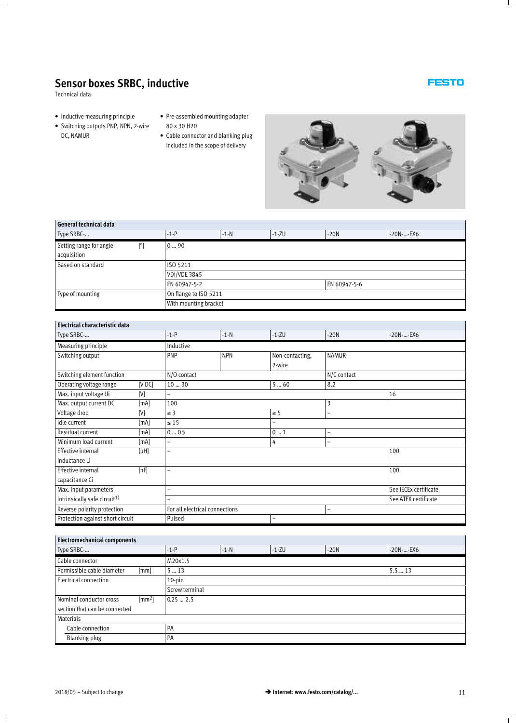Technical data

- Inductive measuring principle
- Switching outputs PNP, NPN, 2-wire DC, NAMUR
- Pre-assembled mounting adapter 80 x 30 H20
- Cable connector and blanking plug included in the scope of delivery



| General technical data                                 |                       |        |              |        |           |  |  |  |  |
|--------------------------------------------------------|-----------------------|--------|--------------|--------|-----------|--|--|--|--|
| Type SRBC-                                             | $-1-P$                | $-1-N$ | $-1 - ZU$    | $-20N$ | -20N--EX6 |  |  |  |  |
| Setting range for angle<br>$[^{\circ}]$<br>acquisition | 090                   |        |              |        |           |  |  |  |  |
| Based on standard                                      | ISO 5211              |        |              |        |           |  |  |  |  |
|                                                        | <b>VDI/VDE 3845</b>   |        |              |        |           |  |  |  |  |
|                                                        | EN 60947-5-2          |        | EN 60947-5-6 |        |           |  |  |  |  |
| Type of mounting                                       | On flange to ISO 5211 |        |              |        |           |  |  |  |  |
|                                                        | With mounting bracket |        |              |        |           |  |  |  |  |

| Electrical characteristic data           |           |                                |            |                 |                      |                       |  |  |  |  |
|------------------------------------------|-----------|--------------------------------|------------|-----------------|----------------------|-----------------------|--|--|--|--|
| Type SRBC-                               |           | $-1-P$                         | $-1-N$     | $-1 - ZU$       | $-20N$               | $-20N$ -- $EX6$       |  |  |  |  |
| Measuring principle                      |           | Inductive                      |            |                 |                      |                       |  |  |  |  |
| Switching output                         |           | PNP                            | <b>NPN</b> | Non-contacting, | <b>NAMUR</b>         |                       |  |  |  |  |
|                                          |           |                                |            | 2-wire          |                      |                       |  |  |  |  |
| Switching element function               |           | N/O contact                    |            |                 | N/C contact          |                       |  |  |  |  |
| Operating voltage range                  | [VDC]     | 1030                           |            | 560             | 8.2                  |                       |  |  |  |  |
| Max. input voltage Ui                    | M         | Ξ.                             |            |                 |                      | 16                    |  |  |  |  |
| Max. output current DC                   | [mA]      | 100                            |            |                 | 3                    |                       |  |  |  |  |
| Voltage drop                             | M         | $\leq$ 3                       |            | $\leq$ 5        | -                    |                       |  |  |  |  |
| Idle current                             | [mA]      | $\leq 15$                      |            | $\overline{a}$  |                      |                       |  |  |  |  |
| Residual current                         | [mA]      | 005                            |            | 01              | -                    |                       |  |  |  |  |
| Minimum load current                     | [mA]      | $\qquad \qquad -$              |            | 4               | -                    |                       |  |  |  |  |
| <b>Effective internal</b>                | $[\mu H]$ | -                              |            |                 |                      | 100                   |  |  |  |  |
| inductance Li                            |           |                                |            |                 |                      |                       |  |  |  |  |
| <b>Effective internal</b>                | [nF]      | $\overline{\phantom{0}}$       |            |                 |                      | 100                   |  |  |  |  |
| capacitance Ci                           |           |                                |            |                 |                      |                       |  |  |  |  |
| Max. input parameters                    |           | $\overline{\phantom{0}}$       |            |                 |                      | See IECEx certificate |  |  |  |  |
| intrinsically safe circuit <sup>1)</sup> |           | -                              |            |                 | See ATEX certificate |                       |  |  |  |  |
| Reverse polarity protection              |           | For all electrical connections |            | -               |                      |                       |  |  |  |  |
| Protection against short circuit         |           | Pulsed                         | -          |                 |                      |                       |  |  |  |  |

| <b>Electromechanical components</b> |               |                |        |           |        |              |  |  |  |  |  |
|-------------------------------------|---------------|----------------|--------|-----------|--------|--------------|--|--|--|--|--|
| Type SRBC-                          |               | $-1-P$         | $-1-N$ | $-1 - ZU$ | $-20N$ | $-20N$ --EX6 |  |  |  |  |  |
| Cable connector                     |               | M20x1.5        |        |           |        |              |  |  |  |  |  |
| Permissible cable diameter          | [mm]          | 513            | 5.513  |           |        |              |  |  |  |  |  |
| Electrical connection               |               | $10$ -pin      |        |           |        |              |  |  |  |  |  |
|                                     |               | Screw terminal |        |           |        |              |  |  |  |  |  |
| Nominal conductor cross             | $\text{[mm]}$ | $0.25 - 2.5$   |        |           |        |              |  |  |  |  |  |
| section that can be connected       |               |                |        |           |        |              |  |  |  |  |  |
| Materials                           |               |                |        |           |        |              |  |  |  |  |  |
| Cable connection                    |               | PA             |        |           |        |              |  |  |  |  |  |
| Blanking plug                       |               | PA             |        |           |        |              |  |  |  |  |  |
|                                     |               |                |        |           |        |              |  |  |  |  |  |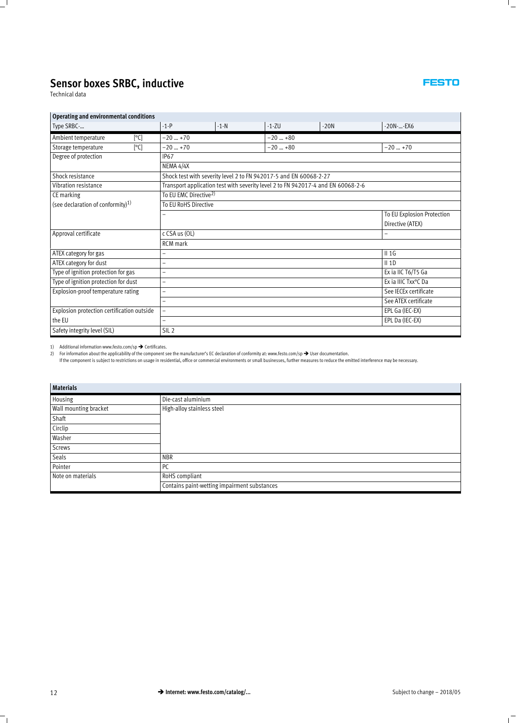Technical data

| Operating and environmental conditions        |                                                                                  |                            |           |        |              |  |  |  |  |
|-----------------------------------------------|----------------------------------------------------------------------------------|----------------------------|-----------|--------|--------------|--|--|--|--|
| Type SRBC-                                    | $-1-P$                                                                           | $-1-N$                     | $-1 - ZU$ | $-20N$ | $-20N$ --EX6 |  |  |  |  |
| Ambient temperature<br>[°C]                   | $-20$ +70                                                                        |                            | $-20$ +80 |        |              |  |  |  |  |
| [°C]<br>Storage temperature                   | $-20$ +70                                                                        |                            | $-20$ +80 |        | $-20+70$     |  |  |  |  |
| Degree of protection                          | IP <sub>67</sub>                                                                 |                            |           |        |              |  |  |  |  |
|                                               | NEMA 4/4X                                                                        |                            |           |        |              |  |  |  |  |
| Shock resistance                              | Shock test with severity level 2 to FN 942017-5 and EN 60068-2-27                |                            |           |        |              |  |  |  |  |
| Vibration resistance                          | Transport application test with severity level 2 to FN 942017-4 and EN 60068-2-6 |                            |           |        |              |  |  |  |  |
| CE marking                                    | To EU EMC Directive <sup>2)</sup>                                                |                            |           |        |              |  |  |  |  |
| (see declaration of conformity) <sup>1)</sup> | To EU RoHS Directive                                                             |                            |           |        |              |  |  |  |  |
|                                               |                                                                                  | To EU Explosion Protection |           |        |              |  |  |  |  |
|                                               |                                                                                  | Directive (ATEX)           |           |        |              |  |  |  |  |
| Approval certificate                          | $c$ CSA us $(OL)$                                                                |                            |           |        |              |  |  |  |  |
|                                               | <b>RCM</b> mark                                                                  |                            |           |        |              |  |  |  |  |
| ATEX category for gas                         | $II$ 1G                                                                          |                            |           |        |              |  |  |  |  |

1) Additional information www.festo.com/sp  $\rightarrow$  Certificates.

Safety integrity level (SIL) SIL 2

Explosion protection certification outside

the EU

2) For information about the applicability of the component see the manufacturer's EC declaration of conformity at: www.festo.com/sp → User documentation.<br>If the component is subject to restrictions on usage in residentia

ATEX category for dust  $-$ 

Type of ignition protection for gas – Ex ia IIC T6/T5 Ga Type of ignition protection for dust  $-$ Explosion-proof temperature rating  $-$ 

| <b>Materials</b>      |                                              |  |  |  |  |  |  |
|-----------------------|----------------------------------------------|--|--|--|--|--|--|
| Housing               | Die-cast aluminium                           |  |  |  |  |  |  |
| Wall mounting bracket | High-alloy stainless steel                   |  |  |  |  |  |  |
| Shaft                 |                                              |  |  |  |  |  |  |
| Circlip               |                                              |  |  |  |  |  |  |
| Washer                |                                              |  |  |  |  |  |  |
| <b>Screws</b>         |                                              |  |  |  |  |  |  |
| Seals                 | <b>NBR</b>                                   |  |  |  |  |  |  |
| Pointer               | PC                                           |  |  |  |  |  |  |
| Note on materials     | RoHS compliant                               |  |  |  |  |  |  |
|                       | Contains paint-wetting impairment substances |  |  |  |  |  |  |

#### **FESTO**

– See ATEX certificate

– EPL Ga (IEC-EX) – EPL Da (IEC-EX)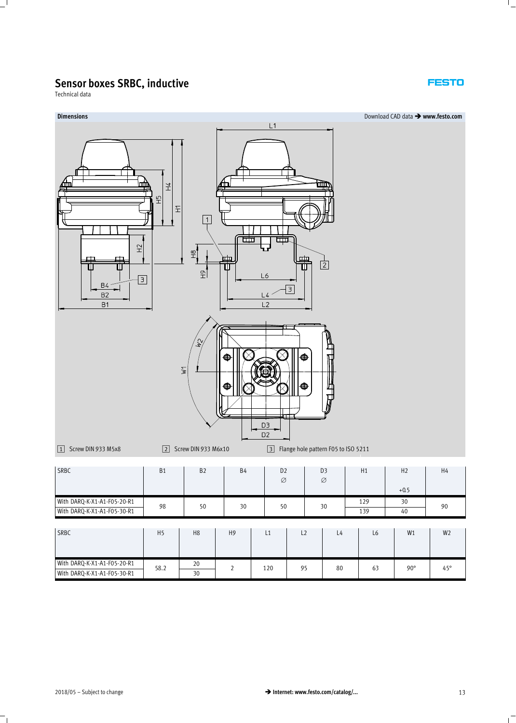Technical data

### **Dimensions** Download CAD data - **www.festo.com**  $L1$ 兰  $\frac{1}{2}$  $\widetilde{\pm}$  $\boxed{1}$ त्तत्त त्ति  $\Xi$  $\frac{1}{2}$ 曲  $\overline{2}$ Ū Ш ℸ Ш  $\widetilde{\mathbb{E}}$  $L6$  $\lceil 3 \rceil$ **B4**  $\sqrt{3}$ B<sub>2</sub>  $\overline{1}$ **B1**  $\overline{1}$ ⋔  $\geq$ ⋒ D<sub>3</sub> D<sub>2</sub> 1 Screw DIN 933 M5x8 2 Screw DIN 933 M6x10 3 Flange hole pattern F05 to ISO 5211 D3 H1 H2 H4 SRBC | B1 | B2 | B4 | D2  $\varnothing$ Ø  $+0.5$ With DARQ-K-X1-A1-F05-20-R1 98 50 30 50 30 30 30 30 30 90 SRBC | H5 | H8 | H9 | L1 | L2 | L4 | L6 | W1 | W2

WITH DARQ-K-X1-A1-F05-20-R1 58.2 20 30 2 120 95 80 63 90° 45°

With DARQ-K-X1-A1-F05-20-R1 58.2

20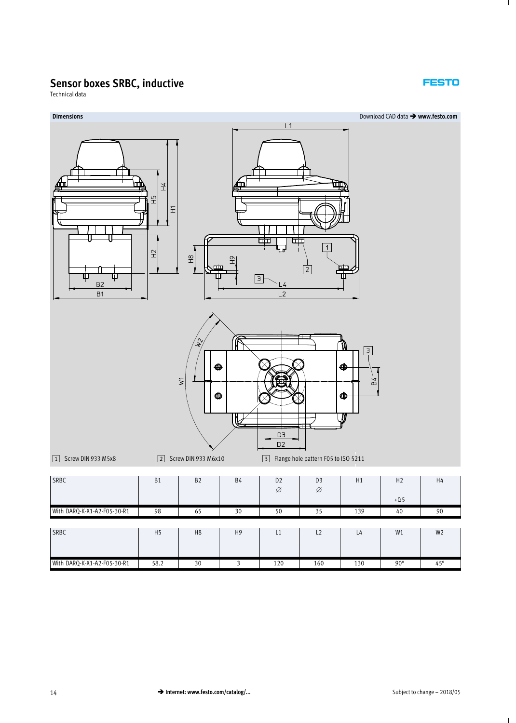Technical data

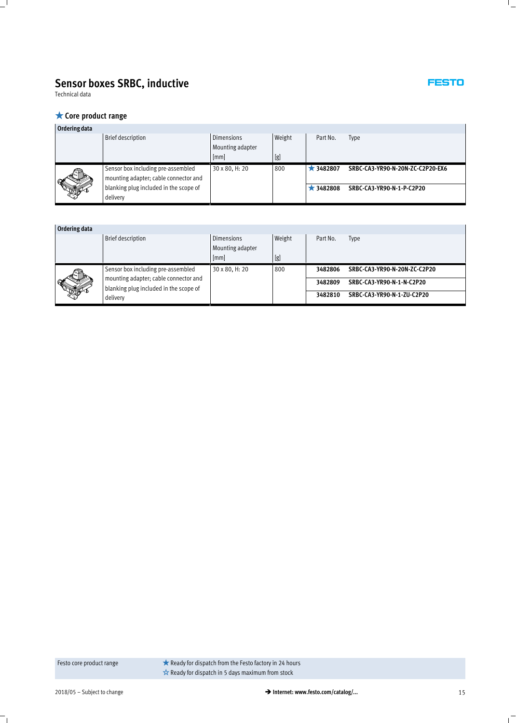Technical data

#### **★ Core product range**

| Ordering data |                                        |                   |        |                 |                                  |
|---------------|----------------------------------------|-------------------|--------|-----------------|----------------------------------|
|               | Brief description                      | <b>Dimensions</b> | Weight | Part No.        | Type                             |
|               |                                        | Mounting adapter  |        |                 |                                  |
|               |                                        | [mm]              | [g]    |                 |                                  |
|               | Sensor box including pre-assembled     | 30 x 80, H: 20    | 800    | $\star$ 3482807 | SRBC-CA3-YR90-N-20N-ZC-C2P20-EX6 |
|               | mounting adapter; cable connector and  |                   |        |                 |                                  |
|               | blanking plug included in the scope of |                   |        | $\star$ 3482808 | SRBC-CA3-YR90-N-1-P-C2P20        |
|               | delivery                               |                   |        |                 |                                  |

| Ordering data |                                        |                   |        |          |                              |
|---------------|----------------------------------------|-------------------|--------|----------|------------------------------|
|               | <b>Brief description</b>               | <b>Dimensions</b> | Weight | Part No. | Type                         |
|               |                                        | Mounting adapter  |        |          |                              |
|               |                                        | [mm]              | [g]    |          |                              |
|               | Sensor box including pre-assembled     | 30 x 80, H: 20    | 800    | 3482806  | SRBC-CA3-YR90-N-20N-ZC-C2P20 |
|               | mounting adapter; cable connector and  |                   |        | 3482809  | SRBC-CA3-YR90-N-1-N-C2P20    |
|               | blanking plug included in the scope of |                   |        |          |                              |
|               | delivery                               |                   |        | 3482810  | SRBC-CA3-YR90-N-1-ZU-C2P20   |

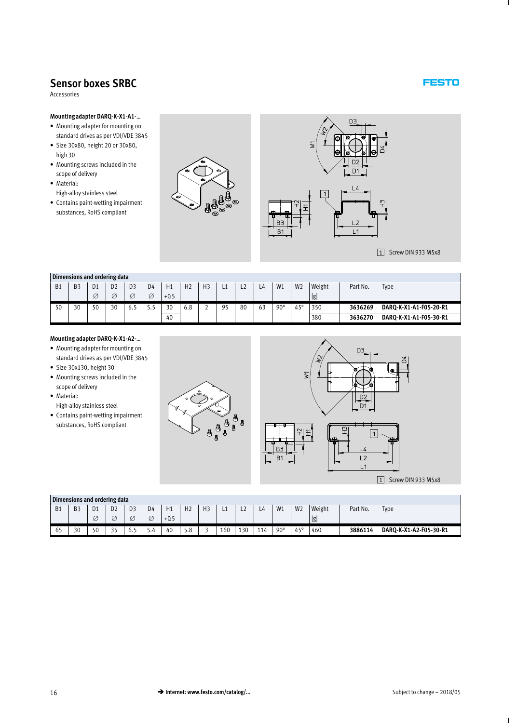<span id="page-15-0"></span>Accessories

#### **Mounting adapter DARQ-K-X1-A1-**…

- Mounting adapter for mounting on standard drives as per VDI/VDE 3845
- Size 30x80, height 20 or 30x80, high 30
- Mounting screws included in the scope of delivery
- Material: High-alloy stainless steel
- Contains paint-wetting impairment substances, RoHS compliant





1 Screw DIN 933 M5x8

#### **Dimensions and ordering data**

|           | PHILLIPIONS and cracinis aata |                |                |                |                |        |                |                |    |    |    |            |                |        |          |                        |
|-----------|-------------------------------|----------------|----------------|----------------|----------------|--------|----------------|----------------|----|----|----|------------|----------------|--------|----------|------------------------|
| <b>B1</b> | <b>B</b> 3                    | D <sub>1</sub> | D <sub>2</sub> | D <sub>3</sub> | D <sub>4</sub> | H1     | H <sub>2</sub> | H <sub>3</sub> | ᄔ  | ᆫ  | 4ء | W1         | W <sub>2</sub> | Weight | Part No. | Type                   |
|           |                               | Ø              | Ø              |                | Ø              | $+0.5$ |                |                |    |    |    |            |                | [g]    |          |                        |
| 50        | 30                            | 50             | 30             | 6.1            | כ.כ            | 30     | 6.8            | ∼              | 05 | 80 | 63 | $90^\circ$ | $45^{\circ}$   | 350    | 3636269  | DARQ-K-X1-A1-F05-20-R1 |
|           |                               |                |                |                |                | 40     |                |                |    |    |    |            |                | 380    | 3636270  | DARQ-K-X1-A1-F05-30-R1 |

#### **Mounting adapter DARQ-K-X1-A2-**…

- Mounting adapter for mounting on standard drives as per VDI/VDE 3845
- Size 30x130, height 30
- Mounting screws included in the scope of delivery
- Material: High-alloy stainless steel
- Contains paint-wetting impairment substances, RoHS compliant





#### **Dimensions and ordering data**

|           | Dimensions and ordering data |                         |                      |                                   |                   |              |                 |                |     |     |      |            |                |               |          |                        |
|-----------|------------------------------|-------------------------|----------------------|-----------------------------------|-------------------|--------------|-----------------|----------------|-----|-----|------|------------|----------------|---------------|----------|------------------------|
| <b>B1</b> | B <sub>3</sub>               | $\mathsf{D}$<br>υı<br>Ø | D <sub>2</sub><br>Ø  | D <sub>3</sub><br>$\tilde{}$<br>∼ | D4<br>$\sim$<br>Ø | H1<br>$+0.5$ | H <sub>2</sub>  | H <sub>3</sub> | --  | ᄂᄼ  | $-4$ | W1         | W <sub>2</sub> | Weight<br>[g] | Part No. | <b>Type</b>            |
| 65        | 30                           | 50                      | $\sim$ $\sim$<br>ر ر | ο.                                | 9.4               | 40           | $\Omega$<br>5.ŏ |                | 160 | 130 | 114  | $90^\circ$ | 45°            | 460           | 3886114  | DARQ-K-X1-A2-F05-30-R1 |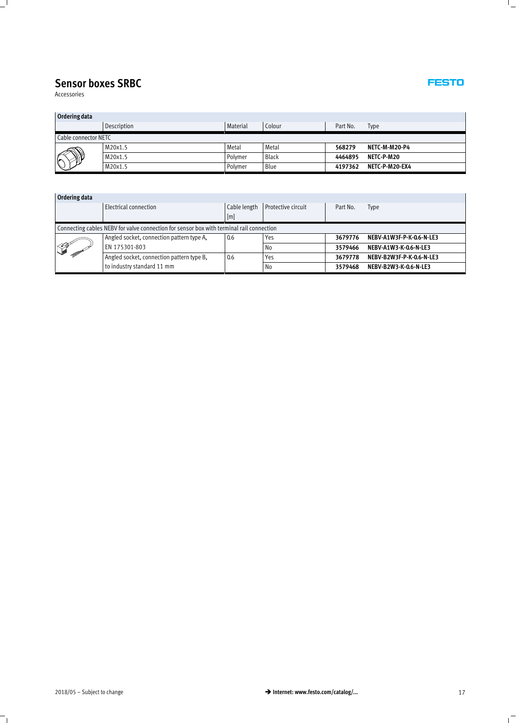Accessories

| Ordering data        |             |          |              |          |                |  |  |  |  |  |  |
|----------------------|-------------|----------|--------------|----------|----------------|--|--|--|--|--|--|
|                      | Description | Material | Colour       | Part No. | Type           |  |  |  |  |  |  |
| Cable connector NETC |             |          |              |          |                |  |  |  |  |  |  |
| 剙<br>۱۴              | M20x1.5     | Metal    | Metal        | 568279   | NETC-M-M20-P4  |  |  |  |  |  |  |
|                      | M20x1.5     | Polymer  | <b>Black</b> | 4464895  | NETC-P-M20     |  |  |  |  |  |  |
|                      | M20x1.5     | Polymer  | Blue         | 4197362  | NETC-P-M20-EX4 |  |  |  |  |  |  |

| Ordering data                                                                            |                                           |              |                    |          |                          |  |  |  |  |  |
|------------------------------------------------------------------------------------------|-------------------------------------------|--------------|--------------------|----------|--------------------------|--|--|--|--|--|
|                                                                                          | Electrical connection                     | Cable length | Protective circuit | Part No. | <b>Type</b>              |  |  |  |  |  |
|                                                                                          |                                           | [m]          |                    |          |                          |  |  |  |  |  |
| Connecting cables NEBV for valve connection for sensor box with terminal rail connection |                                           |              |                    |          |                          |  |  |  |  |  |
|                                                                                          | Angled socket, connection pattern type A, | 0.6          | Yes                | 3679776  | NEBV-A1W3F-P-K-0.6-N-LE3 |  |  |  |  |  |
|                                                                                          | EN 175301-803                             |              | No                 | 3579466  | NEBV-A1W3-K-0.6-N-LE3    |  |  |  |  |  |
|                                                                                          | Angled socket, connection pattern type B, | 0.6          | Yes                | 3679778  | NEBV-B2W3F-P-K-0.6-N-LE3 |  |  |  |  |  |
|                                                                                          | to industry standard 11 mm                |              | No                 | 3579468  | NEBV-B2W3-K-0.6-N-LE3    |  |  |  |  |  |